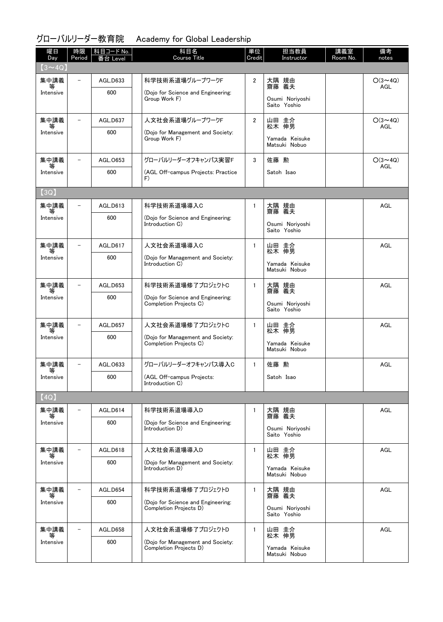## グローバルリーダー教育院 Academy for Global Leadership

| 曜日<br>Day      | 時限<br>Period             | 科目コード No.<br>番台 Level | 科目名<br>Course Title                                          | 単位<br>Credit   | 担当教員<br>Instructor                       | 講義室<br>Room No. | 備考<br>notes           |
|----------------|--------------------------|-----------------------|--------------------------------------------------------------|----------------|------------------------------------------|-----------------|-----------------------|
| $(3 \sim 4Q)$  |                          |                       |                                                              |                |                                          |                 |                       |
| 集中講義           | $\overline{\phantom{0}}$ | AGL.D633              | 科学技術系道場グループワークF                                              | $\overline{2}$ | 大隅 規由<br>齋藤 義夫                           |                 | $O(3 \sim 4Q)$<br>AGL |
| Intensive      |                          | 600                   | (Dojo for Science and Engineering:<br>Group Work F)          |                | Osumi Noriyoshi<br>Saito Yoshio          |                 |                       |
| 集中講義           |                          | AGL.D637              | 人文社会系道場グループワークF                                              | $\overline{2}$ | 山田 圭介                                    |                 | $O(3 \sim 4Q)$        |
| Intensive      |                          | 600                   | (Dojo for Management and Society:<br>Group Work F)           |                | 松木 伸男<br>Yamada Keisuke<br>Matsuki Nobuo |                 | AGL                   |
| 集中講義           |                          | AGL.0653              | グローバルリーダーオフキャンパス実習F                                          | 3              | 佐藤 勲                                     |                 | $O(3 \sim 4Q)$        |
| 等<br>Intensive |                          | 600                   | (AGL Off-campus Projects: Practice<br>F)                     |                | Satoh Isao                               |                 | AGL                   |
| (3Q)           |                          |                       |                                                              |                |                                          |                 |                       |
| 集中講義<br>等      | $\overline{\phantom{0}}$ | AGL.D613              | 科学技術系道場導入C                                                   | $\mathbf{1}$   | 大隅 規由<br>義夫<br>齌藤                        |                 | AGL                   |
| Intensive      |                          | 600                   | (Dojo for Science and Engineering:<br>Introduction C)        |                | Osumi Noriyoshi<br>Saito Yoshio          |                 |                       |
| 集中講義<br>等      | $\overline{\phantom{a}}$ | AGL.D617              | 人文社会系道場導入C                                                   | $\mathbf{1}$   | 山田 圭介<br>松木 伸男                           |                 | AGL                   |
| Intensive      |                          | 600                   | (Dojo for Management and Society:<br>Introduction C)         |                | Yamada Keisuke<br>Matsuki Nobuo          |                 |                       |
| 集中講義           | $\overline{\phantom{0}}$ | AGL.D653              | 科学技術系道場修了プロジェクトC                                             | $\mathbf{1}$   | 大隅 規由<br>齋藤 義夫                           |                 | AGL                   |
| 等<br>Intensive |                          | 600                   | (Dojo for Science and Engineering:<br>Completion Projects C) |                | Osumi Noriyoshi<br>Saito Yoshio          |                 |                       |
| 集中講義<br>等      |                          | AGL.D657              | 人文社会系道場修了プロジェクトC                                             | $\mathbf{1}$   | 山田 圭介<br>松木 伸男                           |                 | AGL                   |
| Intensive      |                          | 600                   | (Dojo for Management and Society:<br>Completion Projects C)  |                | Yamada Keisuke<br>Matsuki Nobuo          |                 |                       |
| 集中講義<br>等      |                          | AGL.0633              | グローバルリーダーオフキャンパス導入C                                          | $\mathbf{1}$   | 佐藤 勲                                     |                 | AGL                   |
| Intensive      |                          | 600                   | (AGL Off-campus Projects:<br>Introduction C)                 |                | Satoh Isao                               |                 |                       |
| (4Q)           |                          |                       |                                                              |                |                                          |                 |                       |
| 集中講義<br>等      | $\overline{\phantom{a}}$ | AGL.D614              | 科学技術系道場導入D                                                   | $\mathbf{1}$   | 大隅 規由<br>齋藤 義夫                           |                 | AGL                   |
| Intensive      |                          | 600                   | (Dojo for Science and Engineering:<br>Introduction D)        |                | Osumi Noriyoshi<br>Saito Yoshio          |                 |                       |
| 集中講義<br>等      | $\overline{\phantom{a}}$ | AGL.D618              | 人文社会系道場導入D                                                   | $\mathbf{1}$   | 山田 圭介<br>松木 伸男                           |                 | <b>AGL</b>            |
| Intensive      |                          | 600                   | (Dojo for Management and Society:<br>Introduction D)         |                | Yamada Keisuke<br>Matsuki Nobuo          |                 |                       |
| 集中講義<br>等      | $\overline{\phantom{a}}$ | AGL.D654              | 科学技術系道場修了プロジェクトD                                             | $\mathbf{1}$   | 大隅 規由<br>齋藤 義夫                           |                 | AGL                   |
| Intensive      |                          | 600                   | (Dojo for Science and Engineering:<br>Completion Projects D) |                | Osumi Noriyoshi<br>Saito Yoshio          |                 |                       |
| 集中講義<br>等      | $-$                      | AGL.D658              | 人文社会系道場修了プロジェクトD                                             | $\mathbf{1}$   | 山田 圭介<br>松木 伸男                           |                 | AGL                   |
| Intensive      |                          | 600                   | (Dojo for Management and Society:<br>Completion Projects D)  |                | Yamada Keisuke<br>Matsuki Nobuo          |                 |                       |